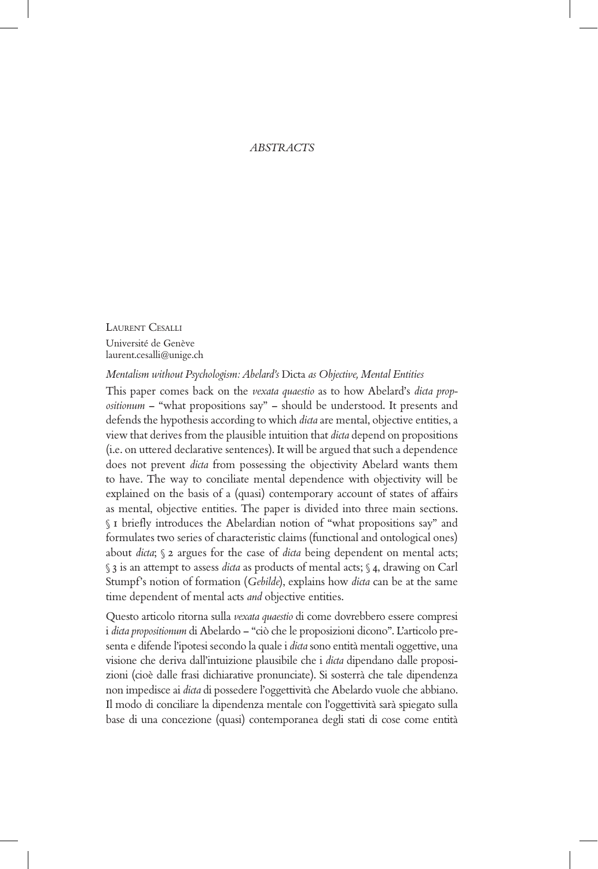## *ABSTRACTS*

LAURENT CESALLI Université de Genève laurent.cesalli@unige.ch

*Mentalism without Psychologism: Abelard's* Dicta *as Objective, Mental Entities*

This paper comes back on the *vexata quaestio* as to how Abelard's *dicta propositionum* – "what propositions say" – should be understood. It presents and defends the hypothesis according to which *dicta* are mental, objective entities, a view that derives from the plausible intuition that *dicta* depend on propositions (i.e. on uttered declarative sentences). It will be argued that such a dependence does not prevent *dicta* from possessing the objectivity Abelard wants them to have. The way to conciliate mental dependence with objectivity will be explained on the basis of a (quasi) contemporary account of states of affairs as mental, objective entities. The paper is divided into three main sections. § 1 briefly introduces the Abelardian notion of "what propositions say" and formulates two series of characteristic claims (functional and ontological ones) about *dicta*; § 2 argues for the case of *dicta* being dependent on mental acts; § 3 is an attempt to assess *dicta* as products of mental acts; § 4, drawing on Carl Stumpf's notion of formation (*Gebilde*), explains how *dicta* can be at the same time dependent of mental acts *and* objective entities.

Questo articolo ritorna sulla *vexata quaestio* di come dovrebbero essere compresi i *dicta propositionum* di Abelardo – "ciò che le proposizioni dicono". L'articolo presenta e difende l'ipotesi secondo la quale i *dicta* sono entità mentali oggettive, una visione che deriva dall'intuizione plausibile che i *dicta* dipendano dalle proposizioni (cioè dalle frasi dichiarative pronunciate). Si sosterrà che tale dipendenza non impedisce ai *dicta* di possedere l'oggettività che Abelardo vuole che abbiano. Il modo di conciliare la dipendenza mentale con l'oggettività sarà spiegato sulla base di una concezione (quasi) contemporanea degli stati di cose come entità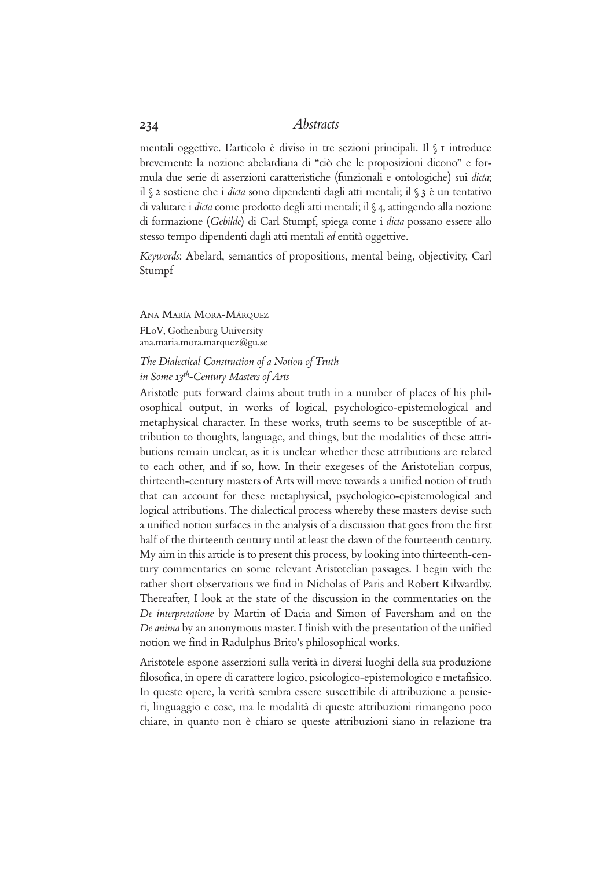mentali oggettive. L'articolo è diviso in tre sezioni principali. Il § 1 introduce brevemente la nozione abelardiana di "ciò che le proposizioni dicono" e formula due serie di asserzioni caratteristiche (funzionali e ontologiche) sui *dicta*; il § 2 sostiene che i *dicta* sono dipendenti dagli atti mentali; il § 3 è un tentativo di valutare i *dicta* come prodotto degli atti mentali; il § 4, attingendo alla nozione di formazione (*Gebilde*) di Carl Stumpf, spiega come i *dicta* possano essere allo stesso tempo dipendenti dagli atti mentali *ed* entità oggettive.

*Keywords*: Abelard, semantics of propositions, mental being, objectivity, Carl Stumpf

Ana María Mora-Márquez FLoV, Gothenburg University ana.maria.mora.marquez@gu.se

## *The Dialectical Construction of a Notion of Truth in Some 13th-Century Masters of Arts*

Aristotle puts forward claims about truth in a number of places of his philosophical output, in works of logical, psychologico-epistemological and metaphysical character. In these works, truth seems to be susceptible of attribution to thoughts, language, and things, but the modalities of these attributions remain unclear, as it is unclear whether these attributions are related to each other, and if so, how. In their exegeses of the Aristotelian corpus, thirteenth-century masters of Arts will move towards a unified notion of truth that can account for these metaphysical, psychologico-epistemological and logical attributions. The dialectical process whereby these masters devise such a unified notion surfaces in the analysis of a discussion that goes from the first half of the thirteenth century until at least the dawn of the fourteenth century. My aim in this article is to present this process, by looking into thirteenth-century commentaries on some relevant Aristotelian passages. I begin with the rather short observations we find in Nicholas of Paris and Robert Kilwardby. Thereafter, I look at the state of the discussion in the commentaries on the *De interpretatione* by Martin of Dacia and Simon of Faversham and on the *De anima* by an anonymous master. I finish with the presentation of the unified notion we find in Radulphus Brito's philosophical works.

Aristotele espone asserzioni sulla verità in diversi luoghi della sua produzione filosofica, in opere di carattere logico, psicologico-epistemologico e metafisico. In queste opere, la verità sembra essere suscettibile di attribuzione a pensieri, linguaggio e cose, ma le modalità di queste attribuzioni rimangono poco chiare, in quanto non è chiaro se queste attribuzioni siano in relazione tra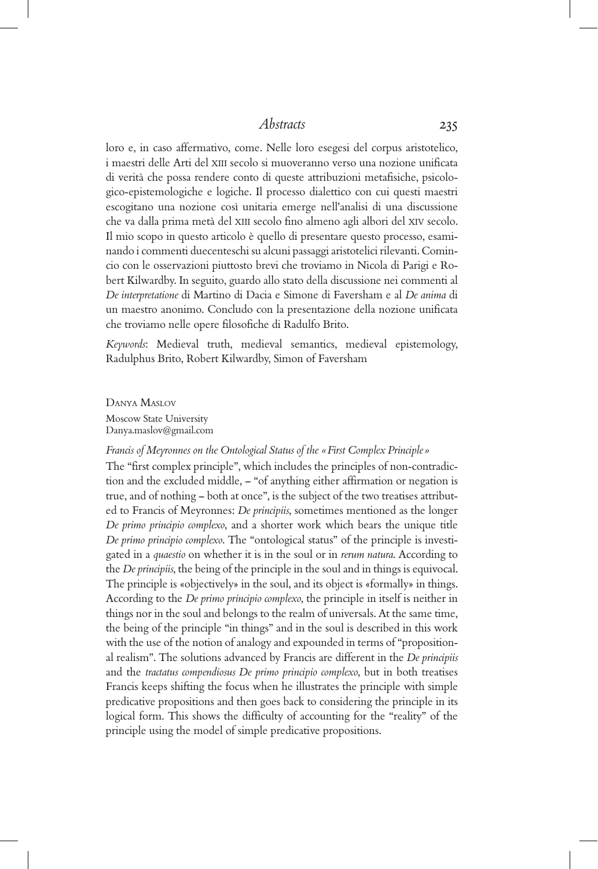loro e, in caso affermativo, come. Nelle loro esegesi del corpus aristotelico, i maestri delle Arti del XIII secolo si muoveranno verso una nozione unificata di verità che possa rendere conto di queste attribuzioni metafisiche, psicologico-epistemologiche e logiche. Il processo dialettico con cui questi maestri escogitano una nozione così unitaria emerge nell'analisi di una discussione che va dalla prima metà del XIII secolo fino almeno agli albori del XIV secolo. Il mio scopo in questo articolo è quello di presentare questo processo, esaminando i commenti duecenteschi su alcuni passaggi aristotelici rilevanti. Comincio con le osservazioni piuttosto brevi che troviamo in Nicola di Parigi e Robert Kilwardby. In seguito, guardo allo stato della discussione nei commenti al *De interpretatione* di Martino di Dacia e Simone di Faversham e al *De anima* di un maestro anonimo. Concludo con la presentazione della nozione unificata che troviamo nelle opere filosofiche di Radulfo Brito.

*Keywords*: Medieval truth, medieval semantics, medieval epistemology, Radulphus Brito, Robert Kilwardby, Simon of Faversham

Danya Maslov Moscow State University Danya.maslov@gmail.com

## *Francis of Meyronnes on the Ontological Status of the «First Complex Principle »*

The "first complex principle", which includes the principles of non-contradiction and the excluded middle, – "of anything either affirmation or negation is true, and of nothing – both at once", is the subject of the two treatises attributed to Francis of Meyronnes: *De principiis*, sometimes mentioned as the longer *De primo principio complexo*, and a shorter work which bears the unique title *De primo principio complexo*. The "ontological status" of the principle is investigated in a *quaestio* on whether it is in the soul or in *rerum natura*. According to the *De principiis*, the being of the principle in the soul and in things is equivocal. The principle is «objectively» in the soul, and its object is «formally» in things. According to the *De primo principio complexo*, the principle in itself is neither in things nor in the soul and belongs to the realm of universals. At the same time, the being of the principle "in things" and in the soul is described in this work with the use of the notion of analogy and expounded in terms of "propositional realism". The solutions advanced by Francis are different in the *De principiis* and the *tractatus compendiosus De primo principio complexo*, but in both treatises Francis keeps shifting the focus when he illustrates the principle with simple predicative propositions and then goes back to considering the principle in its logical form. This shows the difficulty of accounting for the "reality" of the principle using the model of simple predicative propositions.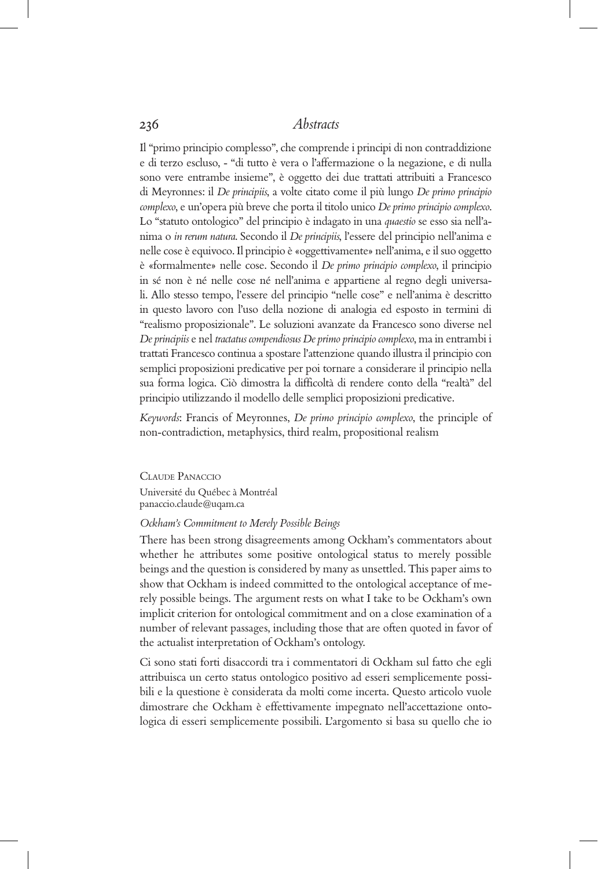Il "primo principio complesso", che comprende i principi di non contraddizione e di terzo escluso, - "di tutto è vera o l'affermazione o la negazione, e di nulla sono vere entrambe insieme", è oggetto dei due trattati attribuiti a Francesco di Meyronnes: il *De principiis*, a volte citato come il più lungo *De primo principio complexo*, e un'opera più breve che porta il titolo unico *De primo principio complexo*. Lo "statuto ontologico" del principio è indagato in una *quaestio* se esso sia nell'anima o *in rerum natura*. Secondo il *De principiis*, l'essere del principio nell'anima e nelle cose è equivoco. Il principio è «oggettivamente» nell'anima, e il suo oggetto è «formalmente» nelle cose. Secondo il *De primo principio complexo*, il principio in sé non è né nelle cose né nell'anima e appartiene al regno degli universali. Allo stesso tempo, l'essere del principio "nelle cose" e nell'anima è descritto in questo lavoro con l'uso della nozione di analogia ed esposto in termini di "realismo proposizionale". Le soluzioni avanzate da Francesco sono diverse nel *De principiis* e nel *tractatus compendiosus De primo principio complexo*, ma in entrambi i trattati Francesco continua a spostare l'attenzione quando illustra il principio con semplici proposizioni predicative per poi tornare a considerare il principio nella sua forma logica. Ciò dimostra la difficoltà di rendere conto della "realtà" del principio utilizzando il modello delle semplici proposizioni predicative.

*Keywords*: Francis of Meyronnes, *De primo principio complexo*, the principle of non-contradiction, metaphysics, third realm, propositional realism

Claude Panaccio Université du Québec à Montréal panaccio.claude@uqam.ca

## *Ockham's Commitment to Merely Possible Beings*

There has been strong disagreements among Ockham's commentators about whether he attributes some positive ontological status to merely possible beings and the question is considered by many as unsettled. This paper aims to show that Ockham is indeed committed to the ontological acceptance of merely possible beings. The argument rests on what I take to be Ockham's own implicit criterion for ontological commitment and on a close examination of a number of relevant passages, including those that are often quoted in favor of the actualist interpretation of Ockham's ontology.

Ci sono stati forti disaccordi tra i commentatori di Ockham sul fatto che egli attribuisca un certo status ontologico positivo ad esseri semplicemente possibili e la questione è considerata da molti come incerta. Questo articolo vuole dimostrare che Ockham è effettivamente impegnato nell'accettazione ontologica di esseri semplicemente possibili. L'argomento si basa su quello che io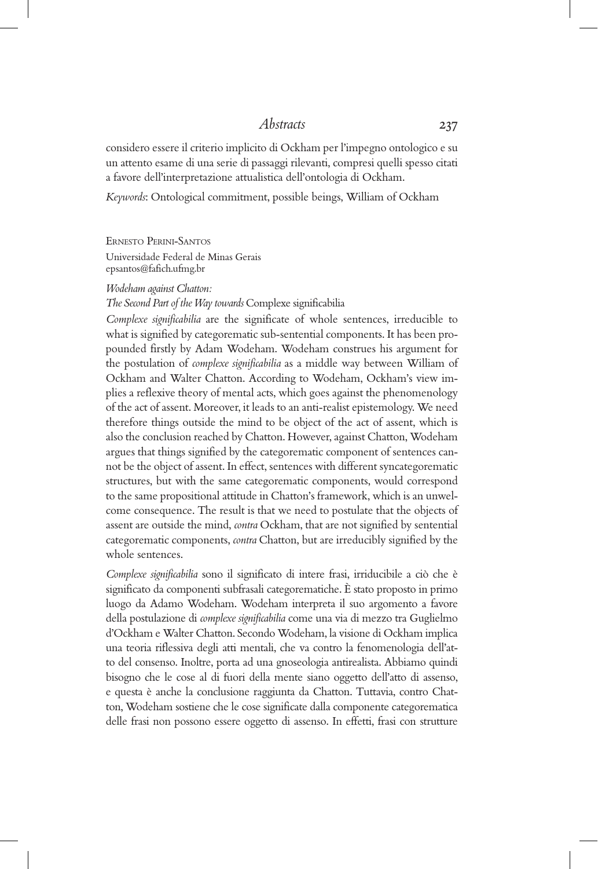considero essere il criterio implicito di Ockham per l'impegno ontologico e su un attento esame di una serie di passaggi rilevanti, compresi quelli spesso citati a favore dell'interpretazione attualistica dell'ontologia di Ockham.

*Keywords*: Ontological commitment, possible beings, William of Ockham

Ernesto Perini-Santos Universidade Federal de Minas Gerais epsantos@fafich.ufmg.br

#### *Wodeham against Chatton:*

*The Second Part of the Way towards* Complexe significabilia

*Complexe significabilia* are the significate of whole sentences, irreducible to what is signified by categorematic sub-sentential components. It has been propounded firstly by Adam Wodeham. Wodeham construes his argument for the postulation of *complexe significabilia* as a middle way between William of Ockham and Walter Chatton. According to Wodeham, Ockham's view implies a reflexive theory of mental acts, which goes against the phenomenology of the act of assent. Moreover, it leads to an anti-realist epistemology. We need therefore things outside the mind to be object of the act of assent, which is also the conclusion reached by Chatton. However, against Chatton, Wodeham argues that things signified by the categorematic component of sentences cannot be the object of assent. In effect, sentences with different syncategorematic structures, but with the same categorematic components, would correspond to the same propositional attitude in Chatton's framework, which is an unwelcome consequence. The result is that we need to postulate that the objects of assent are outside the mind, *contra* Ockham, that are not signified by sentential categorematic components, *contra* Chatton, but are irreducibly signified by the whole sentences.

*Complexe significabilia* sono il significato di intere frasi, irriducibile a ciò che è significato da componenti subfrasali categorematiche. È stato proposto in primo luogo da Adamo Wodeham. Wodeham interpreta il suo argomento a favore della postulazione di *complexe significabilia* come una via di mezzo tra Guglielmo d'Ockham e Walter Chatton. Secondo Wodeham, la visione di Ockham implica una teoria riflessiva degli atti mentali, che va contro la fenomenologia dell'atto del consenso. Inoltre, porta ad una gnoseologia antirealista. Abbiamo quindi bisogno che le cose al di fuori della mente siano oggetto dell'atto di assenso, e questa è anche la conclusione raggiunta da Chatton. Tuttavia, contro Chatton, Wodeham sostiene che le cose significate dalla componente categorematica delle frasi non possono essere oggetto di assenso. In effetti, frasi con strutture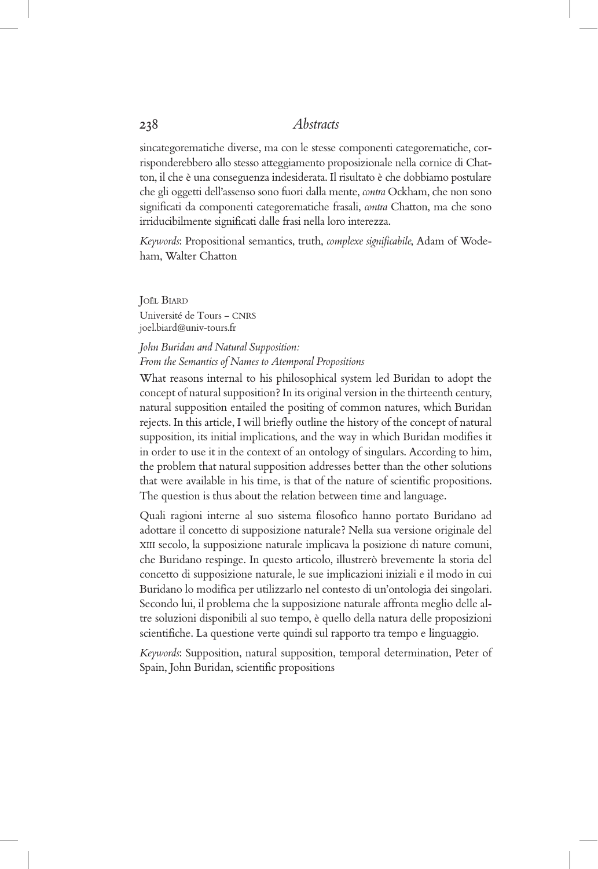sincategorematiche diverse, ma con le stesse componenti categorematiche, corrisponderebbero allo stesso atteggiamento proposizionale nella cornice di Chatton, il che è una conseguenza indesiderata. Il risultato è che dobbiamo postulare che gli oggetti dell'assenso sono fuori dalla mente, *contra* Ockham, che non sono significati da componenti categorematiche frasali, *contra* Chatton, ma che sono irriducibilmente significati dalle frasi nella loro interezza.

*Keywords*: Propositional semantics, truth, *complexe significabile*, Adam of Wodeham, Walter Chatton

Joël Biard Université de Tours – CNRS joel.biard@univ-tours.fr

# *John Buridan and Natural Supposition:*

*From the Semantics of Names to Atemporal Propositions* What reasons internal to his philosophical system led Buridan to adopt the concept of natural supposition? In its original version in the thirteenth century, natural supposition entailed the positing of common natures, which Buridan rejects. In this article, I will briefly outline the history of the concept of natural supposition, its initial implications, and the way in which Buridan modifies it in order to use it in the context of an ontology of singulars. According to him,

the problem that natural supposition addresses better than the other solutions that were available in his time, is that of the nature of scientific propositions. The question is thus about the relation between time and language.

Quali ragioni interne al suo sistema filosofico hanno portato Buridano ad adottare il concetto di supposizione naturale? Nella sua versione originale del XIII secolo, la supposizione naturale implicava la posizione di nature comuni, che Buridano respinge. In questo articolo, illustrerò brevemente la storia del concetto di supposizione naturale, le sue implicazioni iniziali e il modo in cui Buridano lo modifica per utilizzarlo nel contesto di un'ontologia dei singolari. Secondo lui, il problema che la supposizione naturale affronta meglio delle altre soluzioni disponibili al suo tempo, è quello della natura delle proposizioni scientifiche. La questione verte quindi sul rapporto tra tempo e linguaggio.

*Keywords*: Supposition, natural supposition, temporal determination, Peter of Spain, John Buridan, scientific propositions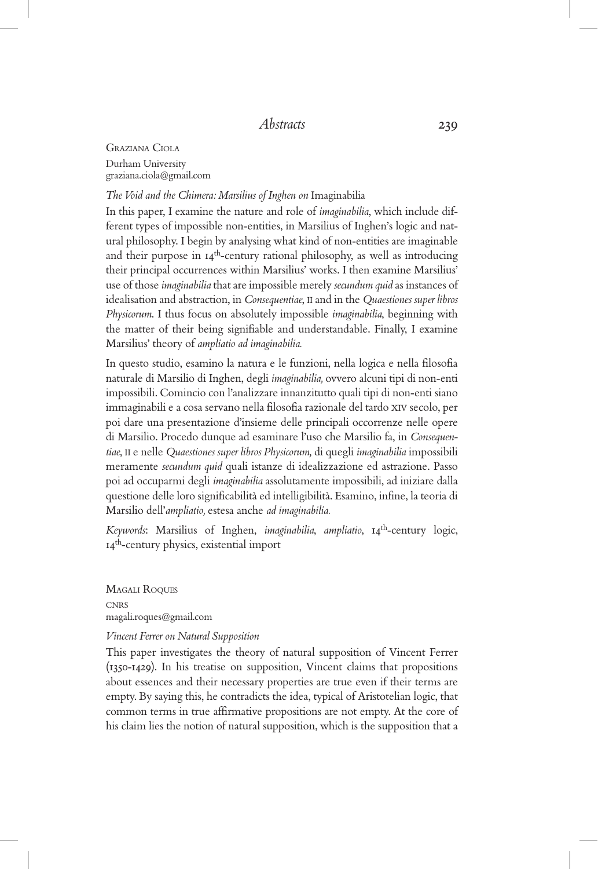Graziana Ciola Durham University graziana.ciola@gmail.com

*The Void and the Chimera: Marsilius of Inghen on* Imaginabilia

In this paper, I examine the nature and role of *imaginabilia*, which include different types of impossible non-entities, in Marsilius of Inghen's logic and natural philosophy. I begin by analysing what kind of non-entities are imaginable and their purpose in  $I_4$ <sup>th</sup>-century rational philosophy, as well as introducing their principal occurrences within Marsilius' works. I then examine Marsilius' use of those *imaginabilia* that are impossible merely *secundum quid* as instances of idealisation and abstraction, in *Consequentiae*, II and in the *Quaestiones super libros Physicorum*. I thus focus on absolutely impossible *imaginabilia*, beginning with the matter of their being signifiable and understandable. Finally, I examine Marsilius' theory of *ampliatio ad imaginabilia.*

In questo studio, esamino la natura e le funzioni, nella logica e nella filosofia naturale di Marsilio di Inghen, degli *imaginabilia,* ovvero alcuni tipi di non-enti impossibili. Comincio con l'analizzare innanzitutto quali tipi di non-enti siano immaginabili e a cosa servano nella filosofia razionale del tardo XIV secolo, per poi dare una presentazione d'insieme delle principali occorrenze nelle opere di Marsilio. Procedo dunque ad esaminare l'uso che Marsilio fa, in *Consequentiae*, II e nelle *Quaestiones super libros Physicorum,* di quegli *imaginabilia* impossibili meramente *secundum quid* quali istanze di idealizzazione ed astrazione. Passo poi ad occuparmi degli *imaginabilia* assolutamente impossibili, ad iniziare dalla questione delle loro significabilità ed intelligibilità. Esamino, infine, la teoria di Marsilio dell'*ampliatio,* estesa anche *ad imaginabilia.*

*Keywords*: Marsilius of Inghen, *imaginabilia*, *ampliatio*, 14th-century logic, 14th-century physics, existential import

Magali Roques **CNRS** magali.roques@gmail.com

## *Vincent Ferrer on Natural Supposition*

This paper investigates the theory of natural supposition of Vincent Ferrer (1350-1429). In his treatise on supposition, Vincent claims that propositions about essences and their necessary properties are true even if their terms are empty. By saying this, he contradicts the idea, typical of Aristotelian logic, that common terms in true affirmative propositions are not empty. At the core of his claim lies the notion of natural supposition, which is the supposition that a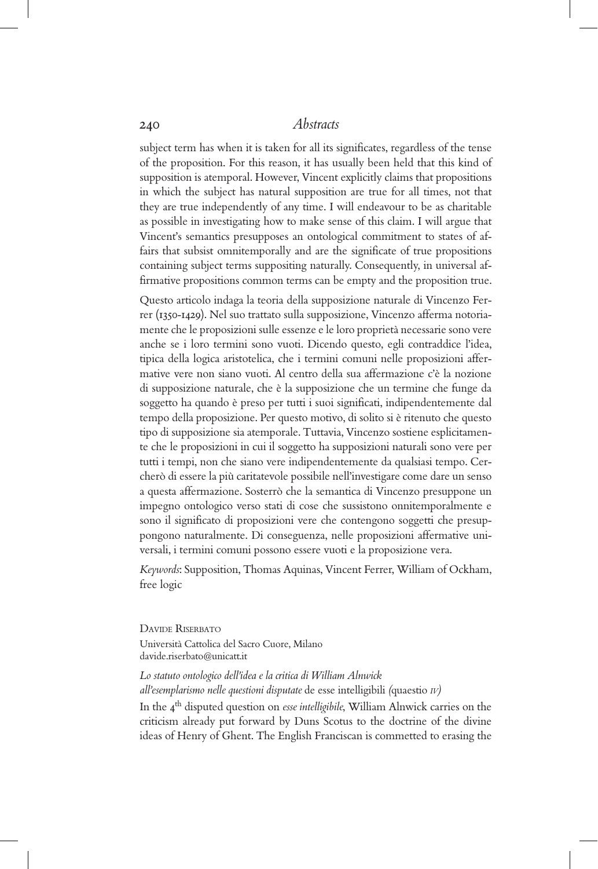subject term has when it is taken for all its significates, regardless of the tense of the proposition. For this reason, it has usually been held that this kind of supposition is atemporal. However, Vincent explicitly claims that propositions in which the subject has natural supposition are true for all times, not that they are true independently of any time. I will endeavour to be as charitable as possible in investigating how to make sense of this claim. I will argue that Vincent's semantics presupposes an ontological commitment to states of affairs that subsist omnitemporally and are the significate of true propositions containing subject terms suppositing naturally. Consequently, in universal affirmative propositions common terms can be empty and the proposition true.

Questo articolo indaga la teoria della supposizione naturale di Vincenzo Ferrer (1350-1429). Nel suo trattato sulla supposizione, Vincenzo afferma notoriamente che le proposizioni sulle essenze e le loro proprietà necessarie sono vere anche se i loro termini sono vuoti. Dicendo questo, egli contraddice l'idea, tipica della logica aristotelica, che i termini comuni nelle proposizioni affermative vere non siano vuoti. Al centro della sua affermazione c'è la nozione di supposizione naturale, che è la supposizione che un termine che funge da soggetto ha quando è preso per tutti i suoi significati, indipendentemente dal tempo della proposizione. Per questo motivo, di solito si è ritenuto che questo tipo di supposizione sia atemporale. Tuttavia, Vincenzo sostiene esplicitamente che le proposizioni in cui il soggetto ha supposizioni naturali sono vere per tutti i tempi, non che siano vere indipendentemente da qualsiasi tempo. Cercherò di essere la più caritatevole possibile nell'investigare come dare un senso a questa affermazione. Sosterrò che la semantica di Vincenzo presuppone un impegno ontologico verso stati di cose che sussistono onnitemporalmente e sono il significato di proposizioni vere che contengono soggetti che presuppongono naturalmente. Di conseguenza, nelle proposizioni affermative universali, i termini comuni possono essere vuoti e la proposizione vera.

*Keywords*: Supposition, Thomas Aquinas, Vincent Ferrer, William of Ockham, free logic

DAVIDE RISERBATO Università Cattolica del Sacro Cuore, Milano davide.riserbato@unicatt.it

*Lo statuto ontologico dell'idea e la critica di William Alnwick all'esemplarismo nelle questioni disputate* de esse intelligibili *(*quaestio *iv)* In the 4th disputed question on *esse intelligibile*, William Alnwick carries on the criticism already put forward by Duns Scotus to the doctrine of the divine ideas of Henry of Ghent. The English Franciscan is commetted to erasing the